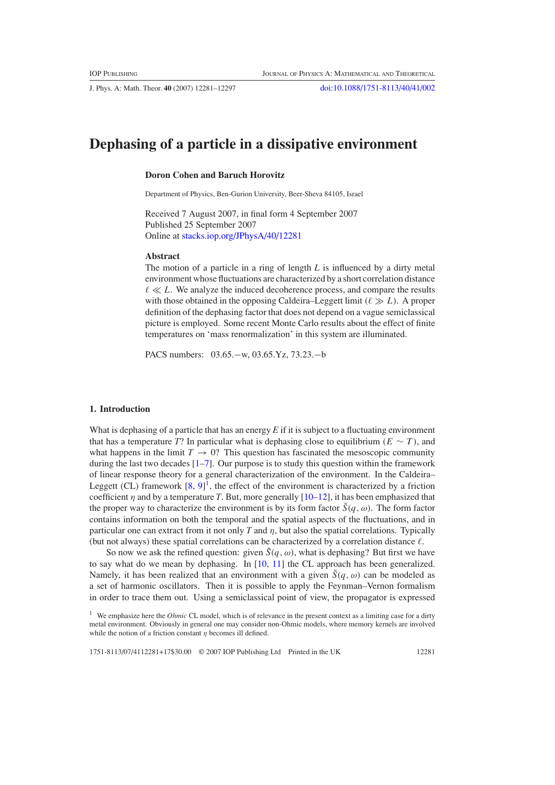J. Phys. A: Math. Theor. **40** (2007) 12281–12297 [doi:10.1088/1751-8113/40/41/002](http://dx.doi.org/10.1088/1751-8113/40/41/002)

# **Dephasing of a particle in a dissipative environment**

## **Doron Cohen and Baruch Horovitz**

Department of Physics, Ben-Gurion University, Beer-Sheva 84105, Israel

Received 7 August 2007, in final form 4 September 2007 Published 25 September 2007 Online at [stacks.iop.org/JPhysA/40/12281](http://stacks.iop.org/JPhysA/40/12281)

#### **Abstract**

The motion of a particle in a ring of length *L* is influenced by a dirty metal environment whose fluctuations are characterized by a short correlation distance  $\ell \ll L$ . We analyze the induced decoherence process, and compare the results with those obtained in the opposing Caldeira–Leggett limit  $(\ell \gg L)$ . A proper definition of the dephasing factor that does not depend on a vague semiclassical picture is employed. Some recent Monte Carlo results about the effect of finite temperatures on 'mass renormalization' in this system are illuminated.

PACS numbers: 03.65.−w, 03.65.Yz, 73.23.−b

### **1. Introduction**

What is dephasing of a particle that has an energy E if it is subject to a fluctuating environment that has a temperature *T*? In particular what is dephasing close to equilibrium  $(E \sim T)$ , and what happens in the limit  $T \to 0$ ? This question has fascinated the mesoscopic community during the last two decades [\[1–7](#page-16-0)]. Our purpose is to study this question within the framework of linear response theory for a general characterization of the environment. In the Caldeira– Leggett (CL) framework  $[8, 9]$  $[8, 9]$  $[8, 9]$  $[8, 9]$ <sup>1</sup>, the effect of the environment is characterized by a friction coefficient  $\eta$  and by a temperature *T*. But, more generally  $[10-12]$ , it has been emphasized that the proper way to characterize the environment is by its form factor  $\tilde{S}(q,\omega)$ . The form factor contains information on both the temporal and the spatial aspects of the fluctuations, and in particular one can extract from it not only *T* and *η*, but also the spatial correlations. Typically (but not always) these spatial correlations can be characterized by a correlation distance  $\ell$ .

So now we ask the refined question: given  $\tilde{S}(q, \omega)$ , what is dephasing? But first we have to say what do we mean by dephasing. In [\[10,](#page-16-0) [11\]](#page-16-0) the CL approach has been generalized. Namely, it has been realized that an environment with a given  $\tilde{S}(q,\omega)$  can be modeled as a set of harmonic oscillators. Then it is possible to apply the Feynman–Vernon formalism in order to trace them out. Using a semiclassical point of view, the propagator is expressed

<sup>1</sup> We emphasize here the *Ohmic* CL model, which is of relevance in the present context as a limiting case for a dirty metal environment. Obviously in general one may consider non-Ohmic models, where memory kernels are involved while the notion of a friction constant *η* becomes ill defined.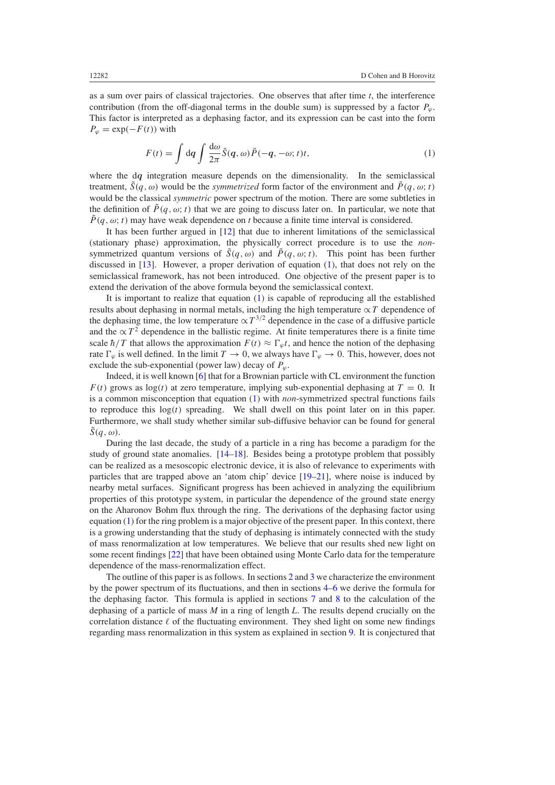<span id="page-1-0"></span>as a sum over pairs of classical trajectories. One observes that after time *t*, the interference contribution (from the off-diagonal terms in the double sum) is suppressed by a factor  $P_\omega$ . This factor is interpreted as a dephasing factor, and its expression can be cast into the form  $P_{\varphi} = \exp(-F(t))$  with

$$
F(t) = \int dq \int \frac{d\omega}{2\pi} \tilde{S}(q,\omega) \tilde{P}(-q,-\omega;t)t,
$$
\n(1)

where the d*q* integration measure depends on the dimensionality. In the semiclassical treatment,  $\tilde{S}(q,\omega)$  would be the *symmetrized* form factor of the environment and  $\tilde{P}(q,\omega;t)$ would be the classical *symmetric* power spectrum of the motion. There are some subtleties in the definition of  $\tilde{P}(q, \omega; t)$  that we are going to discuss later on. In particular, we note that  $\tilde{P}(q, \omega; t)$  may have weak dependence on *t* because a finite time interval is considered.

It has been further argued in [\[12\]](#page-16-0) that due to inherent limitations of the semiclassical (stationary phase) approximation, the physically correct procedure is to use the *non*symmetrized quantum versions of  $\tilde{S}(q,\omega)$  and  $\tilde{P}(q,\omega; t)$ . This point has been further discussed in [\[13](#page-16-0)]. However, a proper derivation of equation (1), that does not rely on the semiclassical framework, has not been introduced. One objective of the present paper is to extend the derivation of the above formula beyond the semiclassical context.

It is important to realize that equation (1) is capable of reproducing all the established results about dephasing in normal metals, including the high temperature  $\propto T$  dependence of the dephasing time, the low temperature  $\propto T^{3/2}$  dependence in the case of a diffusive particle and the  $\propto T^2$  dependence in the ballistic regime. At finite temperatures there is a finite time scale  $\hbar/T$  that allows the approximation  $F(t) \approx \Gamma_{\varphi} t$ , and hence the notion of the dephasing rate  $\Gamma_{\varphi}$  is well defined. In the limit  $T \to 0$ , we always have  $\Gamma_{\varphi} \to 0$ . This, however, does not exclude the sub-exponential (power law) decay of  $P_\omega$ .

Indeed, it is well known [\[6\]](#page-16-0) that for a Brownian particle with CL environment the function  $F(t)$  grows as  $log(t)$  at zero temperature, implying sub-exponential dephasing at  $T = 0$ . It is a common misconception that equation (1) with *non*-symmetrized spectral functions fails to reproduce this  $log(t)$  spreading. We shall dwell on this point later on in this paper. Furthermore, we shall study whether similar sub-diffusive behavior can be found for general  $\tilde{S}(a, \omega)$ .

During the last decade, the study of a particle in a ring has become a paradigm for the study of ground state anomalies. [\[14–18\]](#page-16-0). Besides being a prototype problem that possibly can be realized as a mesoscopic electronic device, it is also of relevance to experiments with particles that are trapped above an 'atom chip' device [\[19–21](#page-16-0)], where noise is induced by nearby metal surfaces. Significant progress has been achieved in analyzing the equilibrium properties of this prototype system, in particular the dependence of the ground state energy on the Aharonov Bohm flux through the ring. The derivations of the dephasing factor using equation (1) for the ring problem is a major objective of the present paper. In this context, there is a growing understanding that the study of dephasing is intimately connected with the study of mass renormalization at low temperatures. We believe that our results shed new light on some recent findings [\[22\]](#page-16-0) that have been obtained using Monte Carlo data for the temperature dependence of the mass-renormalization effect.

The outline of this paper is as follows. In sections [2](#page-2-0) and [3](#page-3-0) we characterize the environment by the power spectrum of its fluctuations, and then in sections [4–](#page-3-0)[6](#page-6-0) we derive the formula for the dephasing factor. This formula is applied in sections [7](#page-8-0) and [8](#page-10-0) to the calculation of the dephasing of a particle of mass *M* in a ring of length *L*. The results depend crucially on the correlation distance  $\ell$  of the fluctuating environment. They shed light on some new findings regarding mass renormalization in this system as explained in section [9.](#page-11-0) It is conjectured that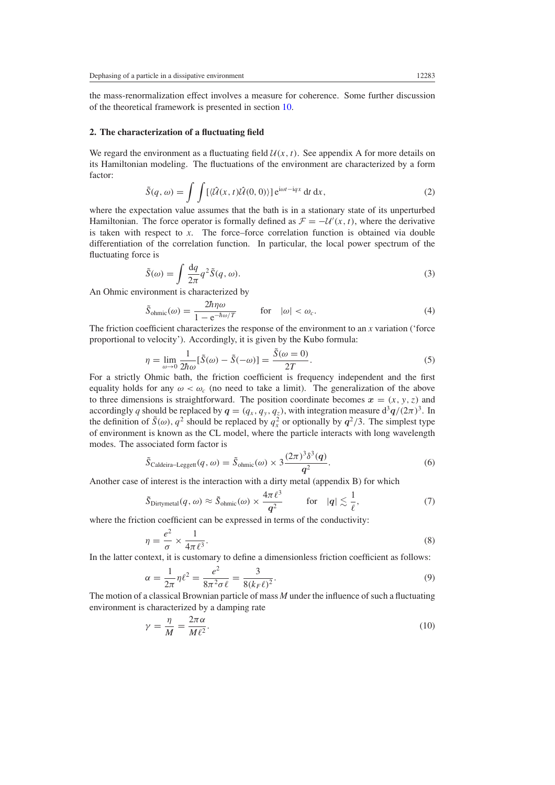<span id="page-2-0"></span>the mass-renormalization effect involves a measure for coherence. Some further discussion of the theoretical framework is presented in section [10.](#page-12-0)

## **2. The characterization of a fluctuating field**

We regard the environment as a fluctuating field  $U(x, t)$ . See appendix A for more details on its Hamiltonian modeling. The fluctuations of the environment are characterized by a form factor:

$$
\tilde{S}(q,\omega) = \int \int \left[ \langle \hat{\mathcal{U}}(x,t) \hat{\mathcal{U}}(0,0) \rangle \right] e^{i\omega t - iqx} dt dx,
$$
\n(2)

where the expectation value assumes that the bath is in a stationary state of its unperturbed Hamiltonian. The force operator is formally defined as  $\mathcal{F} = -\mathcal{U}(x, t)$ , where the derivative is taken with respect to *x*. The force–force correlation function is obtained via double differentiation of the correlation function. In particular, the local power spectrum of the fluctuating force is

$$
\tilde{S}(\omega) = \int \frac{\mathrm{d}q}{2\pi} q^2 \tilde{S}(q,\omega). \tag{3}
$$

An Ohmic environment is characterized by

$$
\tilde{S}_{\text{ohmic}}(\omega) = \frac{2\hbar\eta\omega}{1 - e^{-\hbar\omega/T}} \qquad \text{for} \quad |\omega| < \omega_c. \tag{4}
$$

The friction coefficient characterizes the response of the environment to an *x* variation ('force proportional to velocity'). Accordingly, it is given by the Kubo formula:

$$
\eta = \lim_{\omega \to 0} \frac{1}{2\hbar \omega} [\tilde{S}(\omega) - \tilde{S}(-\omega)] = \frac{\tilde{S}(\omega = 0)}{2T}.
$$
\n(5)

For a strictly Ohmic bath, the friction coefficient is frequency independent and the first equality holds for any  $\omega < \omega_c$  (no need to take a limit). The generalization of the above to three dimensions is straightforward. The position coordinate becomes  $x = (x, y, z)$  and accordingly *q* should be replaced by  $q = (q_x, q_y, q_z)$ , with integration measure  $d^3q/(2\pi)^3$ . In the definition of  $\tilde{S}(\omega)$ ,  $q^2$  should be replaced by  $q_x^2$  or optionally by  $q^2/3$ . The simplest type of environment is known as the CL model, where the particle interacts with long wavelength modes. The associated form factor is

$$
\tilde{S}_{\text{Caldeira-Leggett}}(q,\omega) = \tilde{S}_{\text{ohmic}}(\omega) \times 3 \frac{(2\pi)^3 \delta^3(q)}{q^2}.
$$
\n(6)

Another case of interest is the interaction with a dirty metal (appendix B) for which

$$
\tilde{S}_{\text{Dirtymetal}}(q,\omega) \approx \tilde{S}_{\text{ohmic}}(\omega) \times \frac{4\pi \ell^3}{q^2} \quad \text{for} \quad |q| \lesssim \frac{1}{\ell},\tag{7}
$$

where the friction coefficient can be expressed in terms of the conductivity:

$$
\eta = \frac{e^2}{\sigma} \times \frac{1}{4\pi \ell^3}.
$$
\n(8)

In the latter context, it is customary to define a dimensionless friction coefficient as follows:

$$
\alpha = \frac{1}{2\pi} \eta \ell^2 = \frac{e^2}{8\pi^2 \sigma \ell} = \frac{3}{8(k_F \ell)^2}.
$$
\n(9)

The motion of a classical Brownian particle of mass *M* under the influence of such a fluctuating environment is characterized by a damping rate

$$
\gamma = \frac{\eta}{M} = \frac{2\pi\alpha}{M\ell^2}.\tag{10}
$$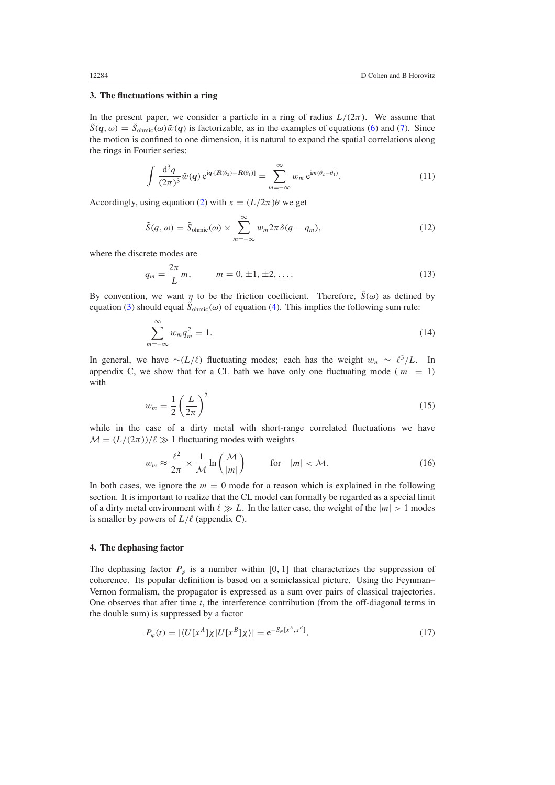## <span id="page-3-0"></span>**3. The fluctuations within a ring**

In the present paper, we consider a particle in a ring of radius  $L/(2\pi)$ . We assume that  $\tilde{S}(q,\omega) = \tilde{S}_{ohmic}(\omega)\tilde{w}(q)$  is factorizable, as in the examples of equations [\(6\)](#page-2-0) and [\(7\)](#page-2-0). Since the motion is confined to one dimension, it is natural to expand the spatial correlations along the rings in Fourier series:

$$
\int \frac{d^3 q}{(2\pi)^3} \tilde{w}(q) e^{iq \cdot [R(\theta_2) - R(\theta_1)]} = \sum_{m=-\infty}^{\infty} w_m e^{im(\theta_2 - \theta_1)}.
$$
 (11)

Accordingly, using equation [\(2\)](#page-2-0) with  $x = (L/2\pi)\theta$  we get

$$
\tilde{S}(q,\omega) = \tilde{S}_{\text{ohmic}}(\omega) \times \sum_{m=-\infty}^{\infty} w_m 2\pi \delta(q - q_m), \qquad (12)
$$

where the discrete modes are

$$
q_m = \frac{2\pi}{L}m, \qquad m = 0, \pm 1, \pm 2, \dots
$$
 (13)

By convention, we want *η* to be the friction coefficient. Therefore,  $\tilde{S}(\omega)$  as defined by equation [\(3\)](#page-2-0) should equal  $\tilde{S}_{ohmic}(\omega)$  of equation [\(4\)](#page-2-0). This implies the following sum rule:

$$
\sum_{m=-\infty}^{\infty} w_m q_m^2 = 1.
$$
\n(14)

In general, we have  $\sim$ (L/ $\ell$ ) fluctuating modes; each has the weight  $w_n \sim \ell^3/L$ . In appendix C, we show that for a CL bath we have only one fluctuating mode  $(|m| = 1)$ with

$$
w_m = \frac{1}{2} \left( \frac{L}{2\pi} \right)^2 \tag{15}
$$

while in the case of a dirty metal with short-range correlated fluctuations we have  $M = (L/(2\pi))/\ell \gg 1$  fluctuating modes with weights

$$
w_m \approx \frac{\ell^2}{2\pi} \times \frac{1}{\mathcal{M}} \ln\left(\frac{\mathcal{M}}{|m|}\right) \qquad \text{for} \quad |m| < \mathcal{M}.\tag{16}
$$

In both cases, we ignore the  $m = 0$  mode for a reason which is explained in the following section. It is important to realize that the CL model can formally be regarded as a special limit of a dirty metal environment with  $\ell \gg L$ . In the latter case, the weight of the  $|m| > 1$  modes is smaller by powers of  $L/\ell$  (appendix C).

## **4. The dephasing factor**

The dephasing factor  $P_\varphi$  is a number within [0, 1] that characterizes the suppression of coherence. Its popular definition is based on a semiclassical picture. Using the Feynman– Vernon formalism, the propagator is expressed as a sum over pairs of classical trajectories. One observes that after time *t*, the interference contribution (from the off-diagonal terms in the double sum) is suppressed by a factor

$$
P_{\varphi}(t) = |\langle U[x^{A}]\chi | U[x^{B}]\chi \rangle| = e^{-S_{N}[x^{A}, x^{B}]}, \qquad (17)
$$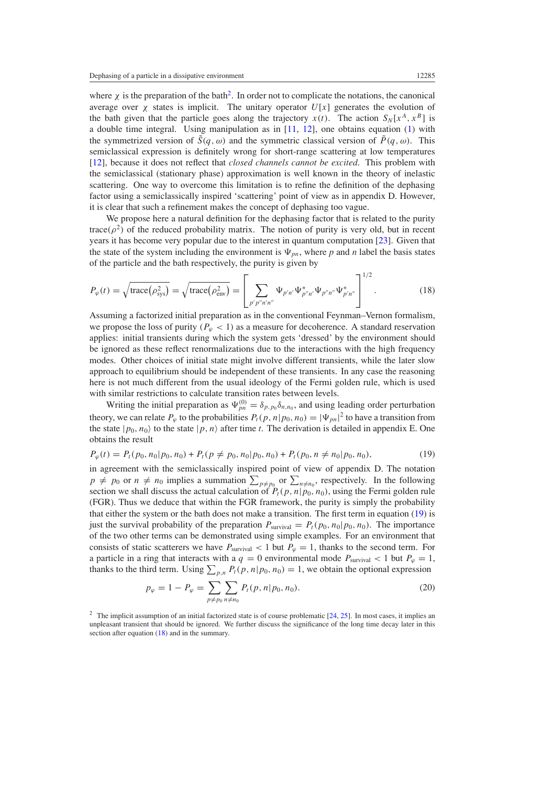<span id="page-4-0"></span>where  $\chi$  is the preparation of the bath<sup>2</sup>. In order not to complicate the notations, the canonical average over  $\chi$  states is implicit. The unitary operator  $U[x]$  generates the evolution of the bath given that the particle goes along the trajectory  $x(t)$ . The action  $S_N[x^A, x^B]$  is a double time integral. Using manipulation as in [\[11,](#page-16-0) [12\]](#page-16-0), one obtains equation [\(1\)](#page-1-0) with the symmetrized version of  $\tilde{S}(q, \omega)$  and the symmetric classical version of  $\tilde{P}(q, \omega)$ . This semiclassical expression is definitely wrong for short-range scattering at low temperatures [\[12](#page-16-0)], because it does not reflect that *closed channels cannot be excited*. This problem with the semiclassical (stationary phase) approximation is well known in the theory of inelastic scattering. One way to overcome this limitation is to refine the definition of the dephasing factor using a semiclassically inspired 'scattering' point of view as in appendix D. However, it is clear that such a refinement makes the concept of dephasing too vague.

We propose here a natural definition for the dephasing factor that is related to the purity trace( $\rho^2$ ) of the reduced probability matrix. The notion of purity is very old, but in recent years it has become very popular due to the interest in quantum computation [\[23\]](#page-16-0). Given that the state of the system including the environment is  $\Psi_{pn}$ , where p and *n* label the basis states of the particle and the bath respectively, the purity is given by

$$
P_{\varphi}(t) = \sqrt{\text{trace}(\rho_{\text{sys}}^2)} = \sqrt{\text{trace}(\rho_{\text{env}}^2)} = \left[\sum_{p'p''n'n''} \Psi_{p'n'} \Psi_{p''n'}^* \Psi_{p''n''} \Psi_{p''n''}^* \right]^{1/2}.
$$
 (18)

Assuming a factorized initial preparation as in the conventional Feynman–Vernon formalism, we propose the loss of purity  $(P_\omega < 1)$  as a measure for decoherence. A standard reservation applies: initial transients during which the system gets 'dressed' by the environment should be ignored as these reflect renormalizations due to the interactions with the high frequency modes. Other choices of initial state might involve different transients, while the later slow approach to equilibrium should be independent of these transients. In any case the reasoning here is not much different from the usual ideology of the Fermi golden rule, which is used with similar restrictions to calculate transition rates between levels.

Writing the initial preparation as  $\Psi_{pn}^{(0)} = \delta_{p,p_0} \delta_{n,n_0}$ , and using leading order perturbation theory, we can relate  $P_\varphi$  to the probabilities  $P_t(p, n|p_0, n_0) = |\Psi_{pn}|^2$  to have a transition from the state  $|p_0, n_0\rangle$  to the state  $|p, n\rangle$  after time *t*. The derivation is detailed in appendix E. One obtains the result

$$
P_{\varphi}(t) = P_t(p_0, n_0 | p_0, n_0) + P_t(p \neq p_0, n_0 | p_0, n_0) + P_t(p_0, n \neq n_0 | p_0, n_0),
$$
\n(19)

in agreement with the semiclassically inspired point of view of appendix D. The notation  $p \neq p_0$  or  $n \neq n_0$  implies a summation  $\sum_{p \neq p_0}$  or  $\sum_{n \neq n_0}$ , respectively. In the following section we shall discuss the actual calculation of  $P_t(p, n|p_0, n_0)$ , using the Fermi golden rule (FGR). Thus we deduce that within the FGR framework, the purity is simply the probability that either the system or the bath does not make a transition. The first term in equation (19) is just the survival probability of the preparation  $P_{\text{survival}} = P_t(p_0, n_0 | p_0, n_0)$ . The importance of the two other terms can be demonstrated using simple examples. For an environment that consists of static scatterers we have  $P_{\text{survival}} < 1$  but  $P_{\varphi} = 1$ , thanks to the second term. For a particle in a ring that interacts with a  $q = 0$  environmental mode  $P_{\text{survival}} < 1$  but  $P_{\varphi} = 1$ , thanks to the third term. Using  $\sum_{p,n} P_t(p, n|p_0, n_0) = 1$ , we obtain the optional expression

$$
p_{\varphi} = 1 - P_{\varphi} = \sum_{p \neq p_0} \sum_{n \neq n_0} P_t(p, n | p_0, n_0).
$$
 (20)

<sup>2</sup> The implicit assumption of an initial factorized state is of course problematic  $[24, 25]$  $[24, 25]$  $[24, 25]$  $[24, 25]$ . In most cases, it implies an unpleasant transient that should be ignored. We further discuss the significance of the long time decay later in this section after equation (18) and in the summary.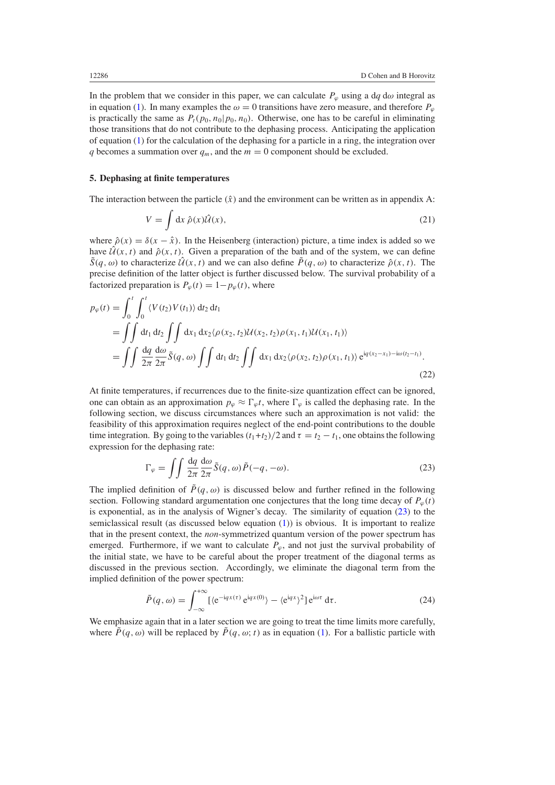<span id="page-5-0"></span>In the problem that we consider in this paper, we can calculate  $P_\varphi$  using a d $q \, d\omega$  integral as in equation [\(1\)](#page-1-0). In many examples the  $\omega = 0$  transitions have zero measure, and therefore  $P_\omega$ is practically the same as  $P_t(p_0, n_0|p_0, n_0)$ . Otherwise, one has to be careful in eliminating those transitions that do not contribute to the dephasing process. Anticipating the application of equation [\(1\)](#page-1-0) for the calculation of the dephasing for a particle in a ring, the integration over *q* becomes a summation over  $q_m$ , and the  $m = 0$  component should be excluded.

## **5. Dephasing at finite temperatures**

The interaction between the particle  $(\hat{x})$  and the environment can be written as in appendix A:

$$
V = \int dx \,\hat{\rho}(x)\hat{\mathcal{U}}(x),\tag{21}
$$

where  $\hat{\rho}(x) = \delta(x - \hat{x})$ . In the Heisenberg (interaction) picture, a time index is added so we have  $\hat{U}(x, t)$  and  $\hat{\rho}(x, t)$ . Given a preparation of the bath and of the system, we can define  $\tilde{S}(q,\omega)$  to characterize  $\hat{\mathcal{U}}(x,t)$  and we can also define  $\tilde{P}(q,\omega)$  to characterize  $\hat{\rho}(x,t)$ . The precise definition of the latter object is further discussed below. The survival probability of a factorized preparation is  $P_{\varphi}(t) = 1 - p_{\varphi}(t)$ , where

$$
p_{\varphi}(t) = \int_0^t \int_0^t \langle V(t_2) V(t_1) \rangle dt_2 dt_1
$$
  
=  $\iint dt_1 dt_2 \iint dx_1 dx_2 \langle \rho(x_2, t_2) \mathcal{U}(x_2, t_2) \rho(x_1, t_1) \mathcal{U}(x_1, t_1) \rangle$   
=  $\iint \frac{dq}{2\pi} \frac{d\omega}{2\pi} \tilde{S}(q, \omega) \iint dt_1 dt_2 \iint dx_1 dx_2 \langle \rho(x_2, t_2) \rho(x_1, t_1) \rangle e^{iq(x_2 - x_1) - i\omega(t_2 - t_1)}.$  (22)

At finite temperatures, if recurrences due to the finite-size quantization effect can be ignored, one can obtain as an approximation  $p_{\varphi} \approx \Gamma_{\varphi} t$ , where  $\Gamma_{\varphi}$  is called the dephasing rate. In the following section, we discuss circumstances where such an approximation is not valid: the feasibility of this approximation requires neglect of the end-point contributions to the double time integration. By going to the variables  $(t_1+t_2)/2$  and  $\tau = t_2 - t_1$ , one obtains the following expression for the dephasing rate:

$$
\Gamma_{\varphi} = \iint \frac{dq}{2\pi} \frac{d\omega}{2\pi} \tilde{S}(q,\omega) \tilde{P}(-q,-\omega). \tag{23}
$$

The implied definition of  $\tilde{P}(q,\omega)$  is discussed below and further refined in the following section. Following standard argumentation one conjectures that the long time decay of  $P_\varphi(t)$ is exponential, as in the analysis of Wigner's decay. The similarity of equation (23) to the semiclassical result (as discussed below equation [\(1\)](#page-1-0)) is obvious. It is important to realize that in the present context, the *non*-symmetrized quantum version of the power spectrum has emerged. Furthermore, if we want to calculate  $P_\varphi$ , and not just the survival probability of the initial state, we have to be careful about the proper treatment of the diagonal terms as discussed in the previous section. Accordingly, we eliminate the diagonal term from the implied definition of the power spectrum:

$$
\tilde{P}(q,\omega) = \int_{-\infty}^{+\infty} \left[ \langle e^{-iqx(\tau)} e^{iqx(0)} \rangle - \langle e^{iqx} \rangle^2 \right] e^{i\omega \tau} d\tau.
$$
\n(24)

We emphasize again that in a later section we are going to treat the time limits more carefully, where  $\tilde{P}(q, \omega)$  will be replaced by  $\tilde{P}(q, \omega; t)$  as in equation [\(1\)](#page-1-0). For a ballistic particle with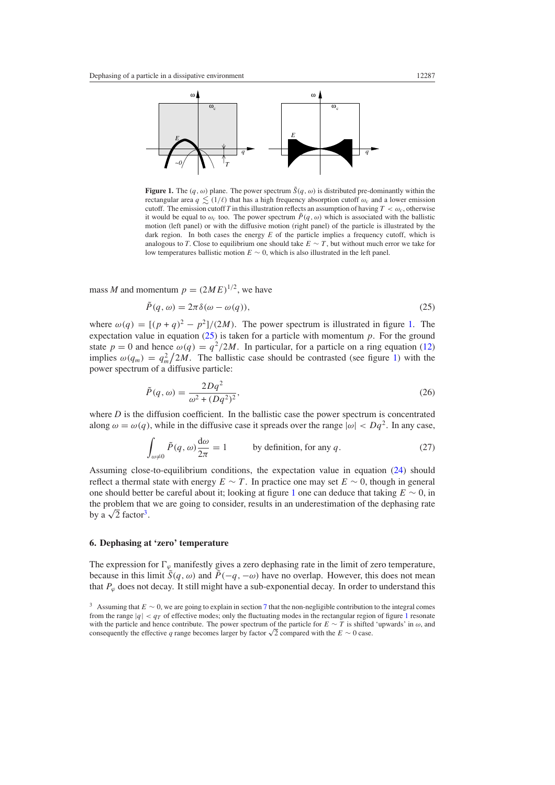<span id="page-6-0"></span>

**Figure 1.** The  $(q, \omega)$  plane. The power spectrum  $\tilde{S}(q, \omega)$  is distributed pre-dominantly within the rectangular area  $q \leq (1/\ell)$  that has a high frequency absorption cutoff  $\omega_c$  and a lower emission cutoff. The emission cutoff *T* in this illustration reflects an assumption of having  $T < \omega_c$ , otherwise it would be equal to  $\omega_c$  too. The power spectrum  $\tilde{P}(q,\omega)$  which is associated with the ballistic motion (left panel) or with the diffusive motion (right panel) of the particle is illustrated by the dark region. In both cases the energy *E* of the particle implies a frequency cutoff, which is analogous to *T*. Close to equilibrium one should take  $E \sim T$ , but without much error we take for low temperatures ballistic motion *E* ∼ 0, which is also illustrated in the left panel.

mass *M* and momentum  $p = (2ME)^{1/2}$ , we have

$$
\tilde{P}(q,\omega) = 2\pi \delta(\omega - \omega(q)),\tag{25}
$$

where  $\omega(q) = \frac{(p+q)^2 - p^2}{2M}$ . The power spectrum is illustrated in figure 1. The expectation value in equation  $(25)$  is taken for a particle with momentum  $p$ . For the ground state  $p = 0$  and hence  $\omega(q) = \frac{q^2}{2M}$ . In particular, for a particle on a ring equation [\(12\)](#page-3-0) implies  $\omega(q_m) = q_m^2/2M$ . The ballistic case should be contrasted (see figure 1) with the power spectrum of a diffusive particle:

$$
\tilde{P}(q,\omega) = \frac{2Dq^2}{\omega^2 + (Dq^2)^2},\tag{26}
$$

where  $D$  is the diffusion coefficient. In the ballistic case the power spectrum is concentrated along  $\omega = \omega(q)$ , while in the diffusive case it spreads over the range  $|\omega| < Dq^2$ . In any case,

$$
\int_{\omega \neq 0} \tilde{P}(q, \omega) \frac{d\omega}{2\pi} = 1
$$
 by definition, for any  $q$ . (27)

Assuming close-to-equilibrium conditions, the expectation value in equation [\(24\)](#page-5-0) should reflect a thermal state with energy  $E \sim T$ . In practice one may set  $E \sim 0$ , though in general one should better be careful about it; looking at figure 1 one can deduce that taking *E* ∼ 0, in the problem that we are going to consider, results in an underestimation of the dephasing rate by a  $\sqrt{2}$  factor<sup>3</sup>.

## **6. Dephasing at 'zero' temperature**

The expression for  $\Gamma_{\varphi}$  manifestly gives a zero dephasing rate in the limit of zero temperature, because in this limit  $\tilde{S}(q, \omega)$  and  $\tilde{P}(-q, -\omega)$  have no overlap. However, this does not mean that  $P_{\varphi}$  does not decay. It still might have a sub-exponential decay. In order to understand this

<sup>3</sup> Assuming that *E* ∼ 0, we are going to explain in section [7](#page-8-0) that the non-negligible contribution to the integral comes from the range  $|q| < q_T$  of effective modes; only the fluctuating modes in the rectangular region of figure 1 resonate with the particle and hence contribute. The power spectrum of the particle for *E* ∼ *T* is shifted 'upwards' in *ω*, and consequently the effective *q* range becomes larger by factor  $\sqrt{2}$  compared with the  $E \sim 0$  case.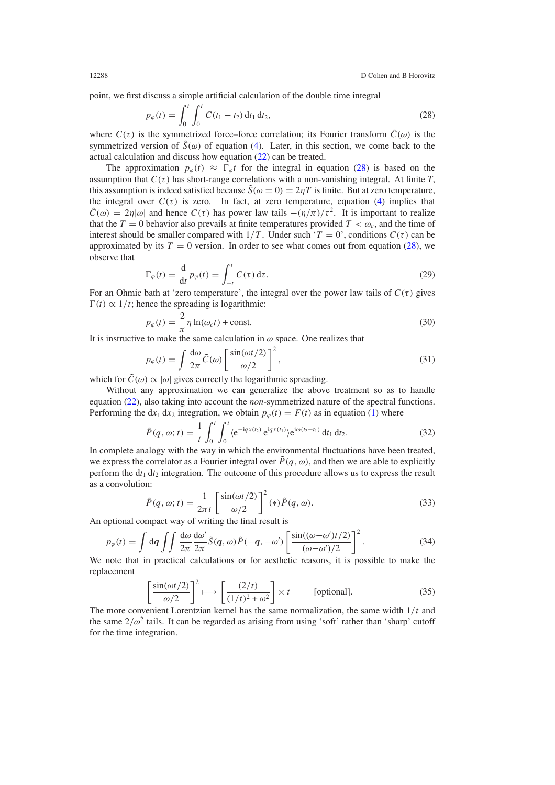<span id="page-7-0"></span>point, we first discuss a simple artificial calculation of the double time integral

$$
p_{\varphi}(t) = \int_0^t \int_0^t C(t_1 - t_2) dt_1 dt_2, \tag{28}
$$

where  $C(\tau)$  is the symmetrized force–force correlation; its Fourier transform  $\hat{C}(\omega)$  is the symmetrized version of  $\tilde{S}(\omega)$  of equation [\(4\)](#page-2-0). Later, in this section, we come back to the actual calculation and discuss how equation [\(22\)](#page-5-0) can be treated.

The approximation  $p_{\varphi}(t) \approx \Gamma_{\varphi} t$  for the integral in equation (28) is based on the assumption that  $C(\tau)$  has short-range correlations with a non-vanishing integral. At finite *T*, this assumption is indeed satisfied because  $\hat{S}(\omega = 0) = 2\eta T$  is finite. But at zero temperature, the integral over  $C(\tau)$  is zero. In fact, at zero temperature, equation [\(4\)](#page-2-0) implies that  $\tilde{C}(\omega) = 2\eta |\omega|$  and hence  $C(\tau)$  has power law tails  $-(\eta/\pi)/\tau^2$ . It is important to realize that the  $T = 0$  behavior also prevails at finite temperatures provided  $T < \omega_c$ , and the time of interest should be smaller compared with  $1/T$ . Under such ' $T = 0$ ', conditions  $C(\tau)$  can be approximated by its  $T = 0$  version. In order to see what comes out from equation (28), we observe that

$$
\Gamma_{\varphi}(t) = \frac{\mathrm{d}}{\mathrm{d}t} p_{\varphi}(t) = \int_{-t}^{t} C(\tau) \,\mathrm{d}\tau. \tag{29}
$$

For an Ohmic bath at 'zero temperature', the integral over the power law tails of  $C(\tau)$  gives  $\Gamma(t) \propto 1/t$ ; hence the spreading is logarithmic:

$$
p_{\varphi}(t) = \frac{2}{\pi} \eta \ln(\omega_c t) + \text{const.}
$$
 (30)

It is instructive to make the same calculation in  $\omega$  space. One realizes that

$$
p_{\varphi}(t) = \int \frac{d\omega}{2\pi} \tilde{C}(\omega) \left[ \frac{\sin(\omega t/2)}{\omega/2} \right]^2,
$$
\n(31)

which for  $\tilde{C}(\omega) \propto |\omega|$  gives correctly the logarithmic spreading.

Without any approximation we can generalize the above treatment so as to handle equation [\(22\)](#page-5-0), also taking into account the *non*-symmetrized nature of the spectral functions. Performing the  $dx_1 dx_2$  integration, we obtain  $p_\varphi(t) = F(t)$  as in equation [\(1\)](#page-1-0) where

$$
\tilde{P}(q,\omega;t) = \frac{1}{t} \int_0^t \int_0^t \langle e^{-iqx(t_2)} e^{iqx(t_1)} \rangle e^{i\omega(t_2 - t_1)} dt_1 dt_2.
$$
\n(32)

In complete analogy with the way in which the environmental fluctuations have been treated, we express the correlator as a Fourier integral over  $\tilde{P}(q, \omega)$ , and then we are able to explicitly perform the d*t*<sup>1</sup> d*t*<sup>2</sup> integration. The outcome of this procedure allows us to express the result as a convolution:

$$
\tilde{P}(q,\omega;t) = \frac{1}{2\pi t} \left[ \frac{\sin(\omega t/2)}{\omega/2} \right]^2 (*) \tilde{P}(q,\omega). \tag{33}
$$

An optional compact way of writing the final result is

$$
p_{\varphi}(t) = \int d\mathbf{q} \int \int \frac{d\omega}{2\pi} \frac{d\omega'}{2\pi} \tilde{S}(\mathbf{q}, \omega) \tilde{P}(-\mathbf{q}, -\omega') \left[ \frac{\sin((\omega - \omega')t/2)}{(\omega - \omega')/2} \right]^2.
$$
 (34)

We note that in practical calculations or for aesthetic reasons, it is possible to make the replacement

$$
\left[\frac{\sin(\omega t/2)}{\omega/2}\right]^2 \longmapsto \left[\frac{(2/t)}{(1/t)^2 + \omega^2}\right] \times t \qquad \text{[optional]}.
$$
 (35)

The more convenient Lorentzian kernel has the same normalization, the same width 1*/t* and the same  $2/\omega^2$  tails. It can be regarded as arising from using 'soft' rather than 'sharp' cutoff for the time integration.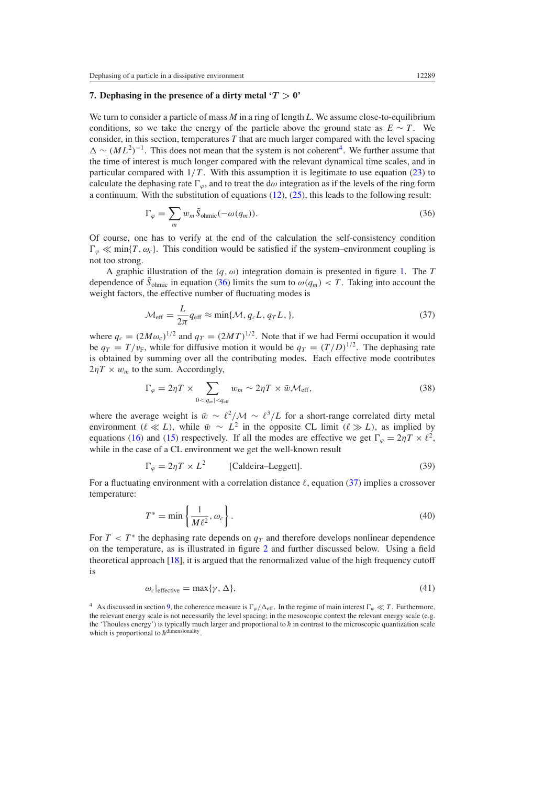## <span id="page-8-0"></span>**7. Dephasing in the presence of a dirty metal**  $T > 0$ **'**

We turn to consider a particle of mass *M* in a ring of length *L*. We assume close-to-equilibrium conditions, so we take the energy of the particle above the ground state as  $E \sim T$ . We consider, in this section, temperatures *T* that are much larger compared with the level spacing  $\Delta \sim (ML^2)^{-1}$ . This does not mean that the system is not coherent<sup>4</sup>. We further assume that the time of interest is much longer compared with the relevant dynamical time scales, and in particular compared with  $1/T$ . With this assumption it is legitimate to use equation [\(23\)](#page-5-0) to calculate the dephasing rate  $\Gamma_{\varphi}$ , and to treat the d $\omega$  integration as if the levels of the ring form a continuum. With the substitution of equations [\(12\)](#page-3-0), [\(25\)](#page-6-0), this leads to the following result:

$$
\Gamma_{\varphi} = \sum_{m} w_{m} \tilde{S}_{ohmic}(-\omega(q_{m})).
$$
\n(36)

Of course, one has to verify at the end of the calculation the self-consistency condition  $\Gamma_{\varphi} \ll \min\{T, \omega_c\}$ . This condition would be satisfied if the system–environment coupling is not too strong.

A graphic illustration of the *(q, ω)* integration domain is presented in figure [1.](#page-6-0) The *T* dependence of  $\tilde{S}_{ohmic}$  in equation (36) limits the sum to  $\omega(q_m) < T$ . Taking into account the weight factors, the effective number of fluctuating modes is

$$
\mathcal{M}_{\text{eff}} = \frac{L}{2\pi} q_{\text{eff}} \approx \min\{\mathcal{M}, q_c L, q_T L, \},\tag{37}
$$

where  $q_c = (2M\omega_c)^{1/2}$  and  $q_T = (2MT)^{1/2}$ . Note that if we had Fermi occupation it would be  $q_T = T/v_F$ , while for diffusive motion it would be  $q_T = (T/D)^{1/2}$ . The dephasing rate is obtained by summing over all the contributing modes. Each effective mode contributes  $2\eta T \times w_m$  to the sum. Accordingly,

$$
\Gamma_{\varphi} = 2\eta T \times \sum_{0 < |q_m| < q_{\text{eff}}} w_m \sim 2\eta T \times \bar{w} \mathcal{M}_{\text{eff}},\tag{38}
$$

where the average weight is  $\bar{w} \sim \ell^2/M \sim \ell^3/L$  for a short-range correlated dirty metal environment  $(\ell \ll L)$ , while  $\bar{w} \sim L^2$  in the opposite CL limit  $(\ell \gg L)$ , as implied by equations [\(16\)](#page-3-0) and [\(15\)](#page-3-0) respectively. If all the modes are effective we get  $\Gamma_{\varphi} = 2\eta T \times \ell^2$ , while in the case of a CL environment we get the well-known result

$$
\Gamma_{\varphi} = 2\eta T \times L^2
$$
 [Caldeira–Leggett]. (39)

For a fluctuating environment with a correlation distance  $\ell$ , equation (37) implies a crossover temperature:

$$
T^* = \min\left\{\frac{1}{M\ell^2}, \omega_c\right\}.
$$
\n(40)

For  $T < T^*$  the dephasing rate depends on  $q_T$  and therefore develops nonlinear dependence on the temperature, as is illustrated in figure [2](#page-9-0) and further discussed below. Using a field theoretical approach [\[18](#page-16-0)], it is argued that the renormalized value of the high frequency cutoff is

$$
\omega_c|_{\text{effective}} = \max{\{\gamma, \Delta\}},\tag{41}
$$

<sup>&</sup>lt;sup>4</sup> As discussed in section [9,](#page-11-0) the coherence measure is  $\Gamma_{\varphi}/\Delta_{\text{eff}}$ . In the regime of main interest  $\Gamma_{\varphi} \ll T$ . Furthermore, the relevant energy scale is not necessarily the level spacing; in the mesoscopic context the relevant energy scale (e.g. the 'Thouless energy') is typically much larger and proportional to  $\hbar$  in contrast to the microscopic quantization scale which is proportional to  $\hbar$ <sup>1</sup>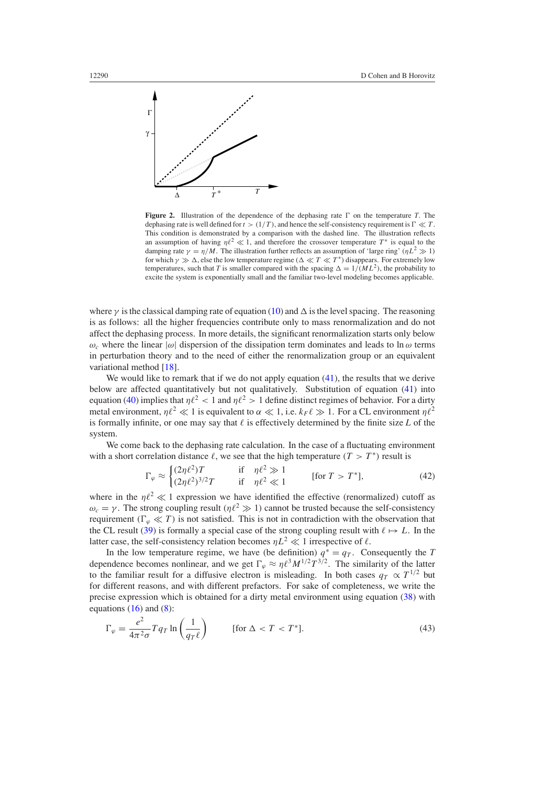<span id="page-9-0"></span>

**Figure 2.** Illustration of the dependence of the dephasing rate  $\Gamma$  on the temperature *T*. The dephasing rate is well defined for  $t > (1/T)$ , and hence the self-consistency requirement is  $\Gamma \ll T$ . This condition is demonstrated by a comparison with the dashed line. The illustration reflects an assumption of having  $\eta l^2 \ll 1$ , and therefore the crossover temperature  $T^*$  is equal to the damping rate  $\gamma = \eta/M$ . The illustration further reflects an assumption of 'large ring'  $(\eta L^2 \gg 1)$ for which  $\gamma \gg \Delta$ , else the low temperature regime  $(\Delta \ll T \ll T^*)$  disappears. For extremely low temperatures, such that *T* is smaller compared with the spacing  $\Delta = 1/(ML^2)$ , the probability to excite the system is exponentially small and the familiar two-level modeling becomes applicable.

where  $\gamma$  is the classical damping rate of equation [\(10\)](#page-2-0) and  $\Delta$  is the level spacing. The reasoning is as follows: all the higher frequencies contribute only to mass renormalization and do not affect the dephasing process. In more details, the significant renormalization starts only below  $ω<sub>c</sub>$  where the linear  $|ω|$  dispersion of the dissipation term dominates and leads to ln *ω* terms in perturbation theory and to the need of either the renormalization group or an equivalent variational method [\[18](#page-16-0)].

We would like to remark that if we do not apply equation [\(41\)](#page-8-0), the results that we derive below are affected quantitatively but not qualitatively. Substitution of equation [\(41\)](#page-8-0) into equation [\(40\)](#page-8-0) implies that  $\eta l^2 < 1$  and  $\eta l^2 > 1$  define distinct regimes of behavior. For a dirty metal environment,  $\eta l^2 \ll 1$  is equivalent to  $\alpha \ll 1$ , i.e.  $k_F \ell \gg 1$ . For a CL environment  $\eta \ell^2$ is formally infinite, or one may say that  $\ell$  is effectively determined by the finite size  $L$  of the system.

We come back to the dephasing rate calculation. In the case of a fluctuating environment with a short correlation distance  $\ell$ , we see that the high temperature  $(T > T^*)$  result is

$$
\Gamma_{\varphi} \approx \begin{cases} (2\eta \ell^2)T & \text{if } \eta \ell^2 \gg 1\\ (2\eta \ell^2)^{3/2}T & \text{if } \eta \ell^2 \ll 1 \end{cases} \qquad \text{[for } T > T^*], \tag{42}
$$

where in the  $n\ell^2 \ll 1$  expression we have identified the effective (renormalized) cutoff as  $\omega_c = \gamma$ . The strong coupling result  $(\eta \ell^2 \gg 1)$  cannot be trusted because the self-consistency requirement  $(\Gamma_{\varphi} \ll T)$  is not satisfied. This is not in contradiction with the observation that the CL result [\(39\)](#page-8-0) is formally a special case of the strong coupling result with  $\ell \mapsto L$ . In the latter case, the self-consistency relation becomes  $nL^2 \ll 1$  irrespective of  $\ell$ .

In the low temperature regime, we have (be definition)  $q^* = q_T$ . Consequently the *T* dependence becomes nonlinear, and we get  $\Gamma_{\varphi} \approx \eta \ell^3 M^{1/2} T^{3/2}$ . The similarity of the latter to the familiar result for a diffusive electron is misleading. In both cases  $q_T \propto T^{1/2}$  but for different reasons, and with different prefactors. For sake of completeness, we write the precise expression which is obtained for a dirty metal environment using equation [\(38\)](#page-8-0) with equations  $(16)$  and  $(8)$ :

$$
\Gamma_{\varphi} = \frac{e^2}{4\pi^2 \sigma} T q_T \ln\left(\frac{1}{q_T \ell}\right) \qquad \text{[for } \Delta < T < T^* \text{]}.
$$
\n(43)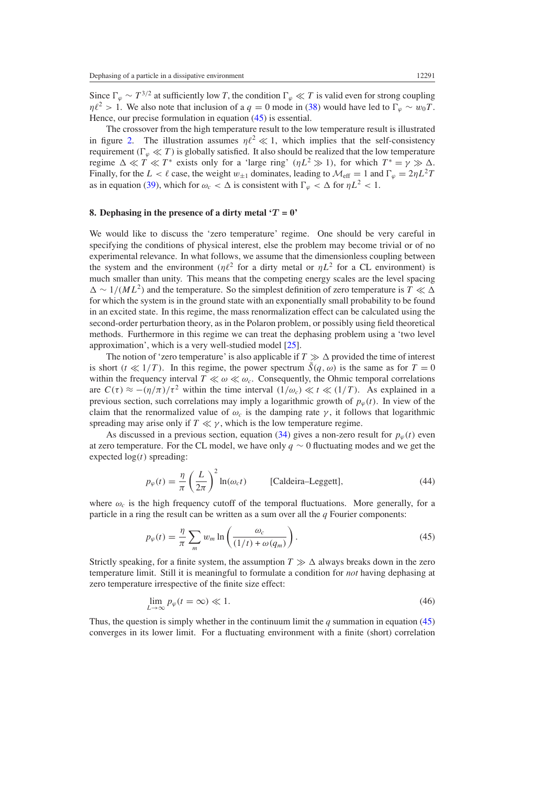<span id="page-10-0"></span>Since  $\Gamma_{\varphi} \sim T^{3/2}$  at sufficiently low *T*, the condition  $\Gamma_{\varphi} \ll T$  is valid even for strong coupling  $n\ell^2 > 1$ . We also note that inclusion of a *q* = 0 mode in [\(38\)](#page-8-0) would have led to  $\Gamma_{\varphi} \sim w_0 T$ . Hence, our precise formulation in equation (45) is essential.

The crossover from the high temperature result to the low temperature result is illustrated in figure [2.](#page-9-0) The illustration assumes  $\eta l^2 \ll 1$ , which implies that the self-consistency requirement  $(\Gamma_{\varphi} \ll T)$  is globally satisfied. It also should be realized that the low temperature regime  $\Delta \ll T \ll T^*$  exists only for a 'large ring'  $(\eta L^2 \gg 1)$ , for which  $T^* = \gamma \gg \Delta$ . Finally, for the  $L < l$  case, the weight  $w_{\pm 1}$  dominates, leading to  $M_{\text{eff}} = 1$  and  $\Gamma_{\varphi} = 2\eta L^2 T$ as in equation [\(39\)](#page-8-0), which for  $\omega_c < \Delta$  is consistent with  $\Gamma_\varphi < \Delta$  for  $\eta L^2 < 1$ .

### **8. Dephasing in the presence of a dirty metal '***T* **= 0'**

We would like to discuss the 'zero temperature' regime. One should be very careful in specifying the conditions of physical interest, else the problem may become trivial or of no experimental relevance. In what follows, we assume that the dimensionless coupling between the system and the environment ( $\eta l^2$  for a dirty metal or  $\eta L^2$  for a CL environment) is much smaller than unity. This means that the competing energy scales are the level spacing  $\Delta \sim 1/(ML^2)$  and the temperature. So the simplest definition of zero temperature is *T*  $\ll \Delta$ for which the system is in the ground state with an exponentially small probability to be found in an excited state. In this regime, the mass renormalization effect can be calculated using the second-order perturbation theory, as in the Polaron problem, or possibly using field theoretical methods. Furthermore in this regime we can treat the dephasing problem using a 'two level approximation', which is a very well-studied model [\[25\]](#page-16-0).

The notion of 'zero temperature' is also applicable if  $T \gg \Delta$  provided the time of interest is short  $(t \ll 1/T)$ . In this regime, the power spectrum  $\tilde{S}(q, \omega)$  is the same as for  $T = 0$ within the frequency interval  $T \ll \omega \ll \omega_c$ . Consequently, the Ohmic temporal correlations are  $C(\tau) \approx -(\eta/\pi)/\tau^2$  within the time interval  $(1/\omega_c) \ll t \ll (1/T)$ . As explained in a previous section, such correlations may imply a logarithmic growth of  $p<sub>φ</sub>(t)$ . In view of the claim that the renormalized value of  $\omega_c$  is the damping rate  $\gamma$ , it follows that logarithmic spreading may arise only if  $T \ll \gamma$ , which is the low temperature regime.

As discussed in a previous section, equation [\(34\)](#page-7-0) gives a non-zero result for  $p<sub>\varphi</sub>(t)$  even at zero temperature. For the CL model, we have only *q* ∼ 0 fluctuating modes and we get the expected log*(t)* spreading:

$$
p_{\varphi}(t) = \frac{\eta}{\pi} \left(\frac{L}{2\pi}\right)^2 \ln(\omega_c t) \qquad \text{[Caldeira-Leggett]},\tag{44}
$$

where  $\omega_c$  is the high frequency cutoff of the temporal fluctuations. More generally, for a particle in a ring the result can be written as a sum over all the *q* Fourier components:

$$
p_{\varphi}(t) = \frac{\eta}{\pi} \sum_{m} w_{m} \ln \left( \frac{\omega_{c}}{(1/t) + \omega(q_{m})} \right).
$$
 (45)

Strictly speaking, for a finite system, the assumption  $T \gg \Delta$  always breaks down in the zero temperature limit. Still it is meaningful to formulate a condition for *not* having dephasing at zero temperature irrespective of the finite size effect:

$$
\lim_{L \to \infty} p_{\varphi}(t = \infty) \ll 1. \tag{46}
$$

Thus, the question is simply whether in the continuum limit the *q* summation in equation (45) converges in its lower limit. For a fluctuating environment with a finite (short) correlation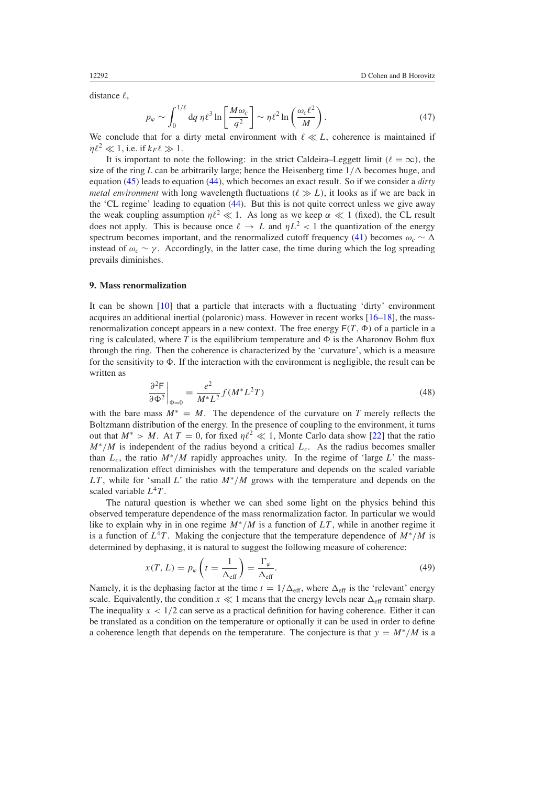<span id="page-11-0"></span>distance  $\ell$ ,

$$
p_{\varphi} \sim \int_0^{1/\ell} dq \eta \ell^3 \ln \left[ \frac{M \omega_c}{q^2} \right] \sim \eta \ell^2 \ln \left( \frac{\omega_c \ell^2}{M} \right). \tag{47}
$$

We conclude that for a dirty metal environment with  $\ell \ll L$ , coherence is maintained if  $\eta \ell^2 \ll 1$ , i.e. if  $k_F \ell \gg 1$ .

It is important to note the following: in the strict Caldeira–Leggett limit  $(\ell = \infty)$ , the size of the ring *L* can be arbitrarily large; hence the Heisenberg time  $1/\Delta$  becomes huge, and equation [\(45\)](#page-10-0) leads to equation [\(44\)](#page-10-0), which becomes an exact result. So if we consider a *dirty metal environment* with long wavelength fluctuations  $(\ell \gg L)$ , it looks as if we are back in the 'CL regime' leading to equation [\(44\)](#page-10-0). But this is not quite correct unless we give away the weak coupling assumption  $\eta l^2 \ll 1$ . As long as we keep  $\alpha \ll 1$  (fixed), the CL result does not apply. This is because once  $\ell \to L$  and  $\eta L^2 < 1$  the quantization of the energy spectrum becomes important, and the renormalized cutoff frequency [\(41\)](#page-8-0) becomes  $\omega_c \sim \Delta$ instead of  $\omega_c \sim \gamma$ . Accordingly, in the latter case, the time during which the log spreading prevails diminishes.

### **9. Mass renormalization**

It can be shown [\[10\]](#page-16-0) that a particle that interacts with a fluctuating 'dirty' environment acquires an additional inertial (polaronic) mass. However in recent works [\[16–18](#page-16-0)], the massrenormalization concept appears in a new context. The free energy  $F(T, \Phi)$  of a particle in a ring is calculated, where T is the equilibrium temperature and  $\Phi$  is the Aharonov Bohm flux through the ring. Then the coherence is characterized by the 'curvature', which is a measure for the sensitivity to  $\Phi$ . If the interaction with the environment is negligible, the result can be written as

$$
\left. \frac{\partial^2 \mathsf{F}}{\partial \Phi^2} \right|_{\Phi=0} = \frac{e^2}{M^* L^2} f(M^* L^2 T) \tag{48}
$$

with the bare mass  $M^* = M$ . The dependence of the curvature on *T* merely reflects the Boltzmann distribution of the energy. In the presence of coupling to the environment, it turns out that  $M^* > M$ . At  $T = 0$ , for fixed  $\eta \ell^2 \ll 1$ , Monte Carlo data show [\[22](#page-16-0)] that the ratio  $M^*/M$  is independent of the radius beyond a critical  $L_c$ . As the radius becomes smaller than  $L_c$ , the ratio  $M^*/M$  rapidly approaches unity. In the regime of 'large L' the massrenormalization effect diminishes with the temperature and depends on the scaled variable *LT*, while for 'small *L*' the ratio  $M^*/M$  grows with the temperature and depends on the scaled variable  $L^4T$ .

The natural question is whether we can shed some light on the physics behind this observed temperature dependence of the mass renormalization factor. In particular we would like to explain why in in one regime *M*∗*/M* is a function of *LT* , while in another regime it is a function of  $L^4T$ . Making the conjecture that the temperature dependence of  $M^*/M$  is determined by dephasing, it is natural to suggest the following measure of coherence:

$$
x(T, L) = p_{\varphi} \left( t = \frac{1}{\Delta_{\text{eff}}} \right) = \frac{\Gamma_{\varphi}}{\Delta_{\text{eff}}}.
$$
\n(49)

Namely, it is the dephasing factor at the time  $t = 1/\Delta_{\text{eff}}$ , where  $\Delta_{\text{eff}}$  is the 'relevant' energy scale. Equivalently, the condition  $x \ll 1$  means that the energy levels near  $\Delta_{\text{eff}}$  remain sharp. The inequality  $x < 1/2$  can serve as a practical definition for having coherence. Either it can be translated as a condition on the temperature or optionally it can be used in order to define a coherence length that depends on the temperature. The conjecture is that  $y = M^*/M$  is a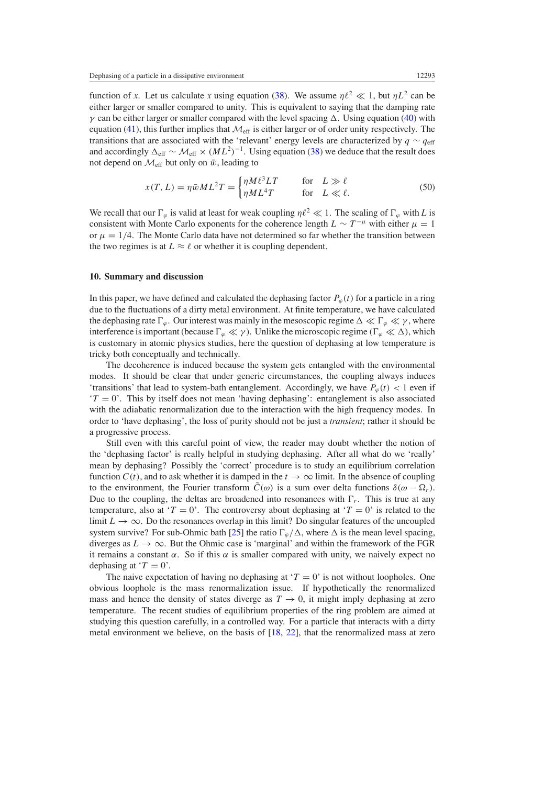<span id="page-12-0"></span>function of *x*. Let us calculate *x* using equation [\(38\)](#page-8-0). We assume  $\eta l^2 \ll 1$ , but  $\eta L^2$  can be either larger or smaller compared to unity. This is equivalent to saying that the damping rate *γ* can be either larger or smaller compared with the level spacing  $\Delta$ . Using equation [\(40\)](#page-8-0) with equation [\(41\)](#page-8-0), this further implies that  $\mathcal{M}_{\text{eff}}$  is either larger or of order unity respectively. The transitions that are associated with the 'relevant' energy levels are characterized by  $q \sim q_{\text{eff}}$ and accordingly  $\Delta_{\text{eff}} \sim \mathcal{M}_{\text{eff}} \times (ML^2)^{-1}$ . Using equation [\(38\)](#page-8-0) we deduce that the result does not depend on  $\mathcal{M}_{\text{eff}}$  but only on  $\bar{w}$ , leading to

$$
x(T, L) = \eta \bar{w} M L^2 T = \begin{cases} \eta M \ell^3 L T & \text{for } L \gg \ell \\ \eta M L^4 T & \text{for } L \ll \ell. \end{cases}
$$
 (50)

We recall that our  $\Gamma_{\varphi}$  is valid at least for weak coupling  $\eta l^2 \ll 1$ . The scaling of  $\Gamma_{\varphi}$  with *L* is consistent with Monte Carlo exponents for the coherence length  $L \sim T^{-\mu}$  with either  $\mu = 1$ or  $\mu = 1/4$ . The Monte Carlo data have not determined so far whether the transition between the two regimes is at  $L \approx \ell$  or whether it is coupling dependent.

#### **10. Summary and discussion**

In this paper, we have defined and calculated the dephasing factor  $P_\varphi(t)$  for a particle in a ring due to the fluctuations of a dirty metal environment. At finite temperature, we have calculated the dephasing rate  $\Gamma_{\varphi}$ . Our interest was mainly in the mesoscopic regime  $\Delta \ll \Gamma_{\varphi} \ll \gamma$ , where interference is important (because  $\Gamma_{\varphi} \ll \gamma$ ). Unlike the microscopic regime  $(\Gamma_{\varphi} \ll \Delta)$ , which is customary in atomic physics studies, here the question of dephasing at low temperature is tricky both conceptually and technically.

The decoherence is induced because the system gets entangled with the environmental modes. It should be clear that under generic circumstances, the coupling always induces 'transitions' that lead to system-bath entanglement. Accordingly, we have  $P_\varphi(t) < 1$  even if  $T = 0'$ . This by itself does not mean 'having dephasing': entanglement is also associated with the adiabatic renormalization due to the interaction with the high frequency modes. In order to 'have dephasing', the loss of purity should not be just a *transient*; rather it should be a progressive process.

Still even with this careful point of view, the reader may doubt whether the notion of the 'dephasing factor' is really helpful in studying dephasing. After all what do we 'really' mean by dephasing? Possibly the 'correct' procedure is to study an equilibrium correlation function  $C(t)$ , and to ask whether it is damped in the  $t \to \infty$  limit. In the absence of coupling to the environment, the Fourier transform  $\tilde{C}(\omega)$  is a sum over delta functions  $\delta(\omega - \Omega_r)$ . Due to the coupling, the deltas are broadened into resonances with  $\Gamma_r$ . This is true at any temperature, also at ' $T = 0$ '. The controversy about dephasing at ' $T = 0$ ' is related to the limit  $L \to \infty$ . Do the resonances overlap in this limit? Do singular features of the uncoupled system survive? For sub-Ohmic bath [\[25](#page-16-0)] the ratio  $\Gamma_{\varphi}/\Delta$ , where  $\Delta$  is the mean level spacing, diverges as  $L \to \infty$ . But the Ohmic case is 'marginal' and within the framework of the FGR it remains a constant  $\alpha$ . So if this  $\alpha$  is smaller compared with unity, we naively expect no dephasing at  $T = 0$ .

The naive expectation of having no dephasing at  $\tau = 0$  is not without loopholes. One obvious loophole is the mass renormalization issue. If hypothetically the renormalized mass and hence the density of states diverge as  $T \to 0$ , it might imply dephasing at zero temperature. The recent studies of equilibrium properties of the ring problem are aimed at studying this question carefully, in a controlled way. For a particle that interacts with a dirty metal environment we believe, on the basis of [\[18,](#page-16-0) [22\]](#page-16-0), that the renormalized mass at zero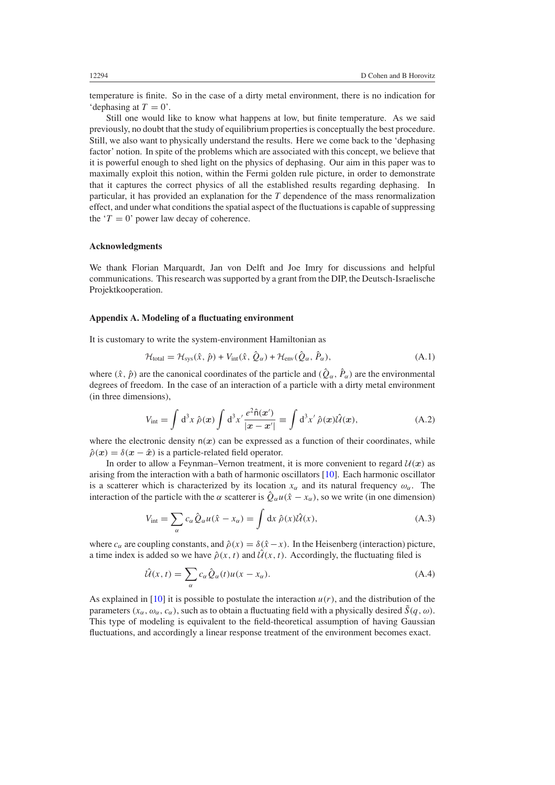<span id="page-13-0"></span>temperature is finite. So in the case of a dirty metal environment, there is no indication for 'dephasing at  $T = 0$ '.

Still one would like to know what happens at low, but finite temperature. As we said previously, no doubt that the study of equilibrium properties is conceptually the best procedure. Still, we also want to physically understand the results. Here we come back to the 'dephasing factor' notion. In spite of the problems which are associated with this concept, we believe that it is powerful enough to shed light on the physics of dephasing. Our aim in this paper was to maximally exploit this notion, within the Fermi golden rule picture, in order to demonstrate that it captures the correct physics of all the established results regarding dephasing. In particular, it has provided an explanation for the *T* dependence of the mass renormalization effect, and under what conditions the spatial aspect of the fluctuations is capable of suppressing the  $T = 0$ ' power law decay of coherence.

## **Acknowledgments**

We thank Florian Marquardt, Jan von Delft and Joe Imry for discussions and helpful communications. This research was supported by a grant from the DIP, the Deutsch-Israelische Projektkooperation.

#### **Appendix A. Modeling of a fluctuating environment**

It is customary to write the system-environment Hamiltonian as

$$
\mathcal{H}_{\text{total}} = \mathcal{H}_{\text{sys}}(\hat{x}, \hat{p}) + V_{\text{int}}(\hat{x}, \hat{Q}_{\alpha}) + \mathcal{H}_{\text{env}}(\hat{Q}_{\alpha}, \hat{P}_{\alpha}), \tag{A.1}
$$

where  $(\hat{x}, \hat{p})$  are the canonical coordinates of the particle and  $(\hat{Q}_{\alpha}, \hat{P}_{\alpha})$  are the environmental degrees of freedom. In the case of an interaction of a particle with a dirty metal environment (in three dimensions),

$$
V_{\text{int}} = \int d^3x \,\hat{\rho}(\mathbf{x}) \int d^3x' \frac{e^2 \hat{n}(\mathbf{x}')}{|\mathbf{x} - \mathbf{x}'|} \equiv \int d^3x' \,\hat{\rho}(\mathbf{x}) \hat{\mathcal{U}}(\mathbf{x}), \tag{A.2}
$$

where the electronic density  $n(x)$  can be expressed as a function of their coordinates, while  $\hat{\rho}(x) = \delta(x - \hat{x})$  is a particle-related field operator.

In order to allow a Feynman–Vernon treatment, it is more convenient to regard  $U(x)$  as arising from the interaction with a bath of harmonic oscillators [\[10](#page-16-0)]. Each harmonic oscillator is a scatterer which is characterized by its location  $x_\alpha$  and its natural frequency  $\omega_\alpha$ . The interaction of the particle with the *α* scatterer is  $\hat{Q}_{\alpha}u(\hat{x}-x_{\alpha})$ , so we write (in one dimension)

$$
V_{\text{int}} = \sum_{\alpha} c_{\alpha} \hat{Q}_{\alpha} u(\hat{x} - x_{\alpha}) = \int dx \ \hat{\rho}(x) \hat{\mathcal{U}}(x), \tag{A.3}
$$

where  $c_{\alpha}$  are coupling constants, and  $\hat{\rho}(x) = \delta(\hat{x} - x)$ . In the Heisenberg (interaction) picture, a time index is added so we have  $\hat{\rho}(x, t)$  and  $\hat{\mathcal{U}}(x, t)$ . Accordingly, the fluctuating filed is

$$
\hat{\mathcal{U}}(x,t) = \sum_{\alpha} c_{\alpha} \hat{Q}_{\alpha}(t) u(x - x_{\alpha}).
$$
\n(A.4)

As explained in  $[10]$  $[10]$  it is possible to postulate the interaction  $u(r)$ , and the distribution of the parameters  $(x_{\alpha}, \omega_{\alpha}, c_{\alpha})$ , such as to obtain a fluctuating field with a physically desired  $\bar{S}(q, \omega)$ . This type of modeling is equivalent to the field-theoretical assumption of having Gaussian fluctuations, and accordingly a linear response treatment of the environment becomes exact.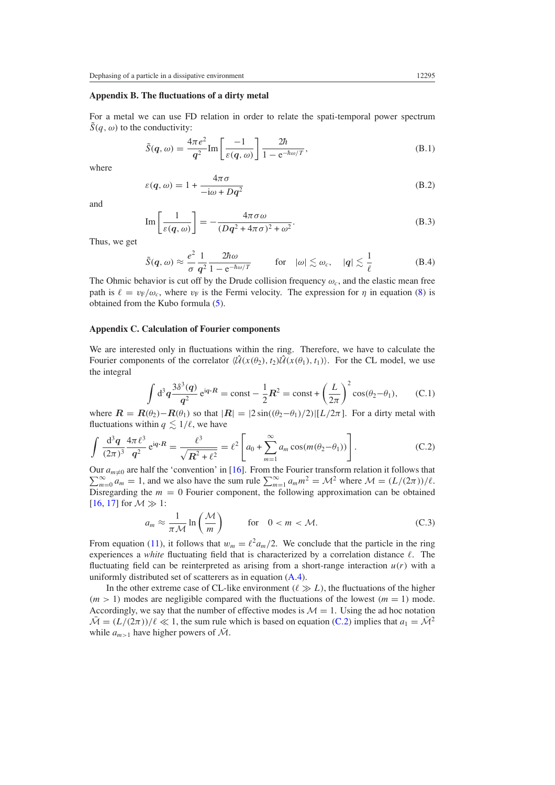## **Appendix B. The fluctuations of a dirty metal**

For a metal we can use FD relation in order to relate the spati-temporal power spectrum  $\tilde{S}(q,\omega)$  to the conductivity:

$$
\tilde{S}(q,\omega) = \frac{4\pi e^2}{q^2} \text{Im}\left[\frac{-1}{\varepsilon(q,\omega)}\right] \frac{2\hbar}{1 - e^{-\hbar\omega/T}},\tag{B.1}
$$

where

$$
\varepsilon(q,\omega) = 1 + \frac{4\pi\sigma}{-i\omega + Dq^2}
$$
 (B.2)

and

$$
\operatorname{Im}\left[\frac{1}{\varepsilon(q,\omega)}\right] = -\frac{4\pi\sigma\omega}{(Dq^2 + 4\pi\sigma)^2 + \omega^2}.
$$
\n(B.3)

Thus, we get

$$
\tilde{S}(q,\omega) \approx \frac{e^2}{\sigma} \frac{1}{q^2} \frac{2\hbar\omega}{1 - e^{-\hbar\omega/T}} \qquad \text{for} \quad |\omega| \lesssim \omega_c, \quad |q| \lesssim \frac{1}{\ell} \tag{B.4}
$$

The Ohmic behavior is cut off by the Drude collision frequency  $\omega_c$ , and the elastic mean free path is  $\ell = v_F/\omega_c$ , where  $v_F$  is the Fermi velocity. The expression for *η* in equation [\(8\)](#page-2-0) is obtained from the Kubo formula [\(5\)](#page-2-0).

#### **Appendix C. Calculation of Fourier components**

We are interested only in fluctuations within the ring. Therefore, we have to calculate the Fourier components of the correlator  $\langle \hat{U}(x(\theta_1), t_1) \rangle$ . For the CL model, we use the integral

$$
\int d^3q \frac{3\delta^3(q)}{q^2} e^{iq \cdot R} = \text{const} - \frac{1}{2}R^2 = \text{const} + \left(\frac{L}{2\pi}\right)^2 \cos(\theta_2 - \theta_1), \qquad (C.1)
$$

where  $\mathbf{R} = \mathbf{R}(\theta_2) - \mathbf{R}(\theta_1)$  so that  $|\mathbf{R}| = |2 \sin((\theta_2 - \theta_1)/2)|[L/2\pi]$ . For a dirty metal with fluctuations within  $q \leq 1/\ell$ , we have

$$
\int \frac{d^3 q}{(2\pi)^3} \frac{4\pi \ell^3}{q^2} e^{iq \cdot R} = \frac{\ell^3}{\sqrt{R^2 + \ell^2}} = \ell^2 \left[ a_0 + \sum_{m=1}^{\infty} a_m \cos(m(\theta_2 - \theta_1)) \right].
$$
 (C.2)

 $\sum_{m=0}^{\infty} a_m = 1$ , and we also have the sum rule  $\sum_{m=1}^{\infty} a_m m^2 = \mathcal{M}^2$  where  $\mathcal{M} = (L/(2\pi))/\ell$ . Our  $a_{m\neq 0}$  are half the 'convention' in [\[16\]](#page-16-0). From the Fourier transform relation it follows that Disregarding the  $m = 0$  Fourier component, the following approximation can be obtained [\[16](#page-16-0), [17](#page-16-0)] for  $M \gg 1$ :

$$
a_m \approx \frac{1}{\pi \mathcal{M}} \ln \left( \frac{\mathcal{M}}{m} \right) \qquad \text{for} \quad 0 < m < \mathcal{M}.\tag{C.3}
$$

From equation [\(11\)](#page-3-0), it follows that  $w_m = \ell^2 a_m/2$ . We conclude that the particle in the ring experiences a *white* fluctuating field that is characterized by a correlation distance  $\ell$ . The fluctuating field can be reinterpreted as arising from a short-range interaction  $u(r)$  with a uniformly distributed set of scatterers as in equation [\(A](#page-13-0)*.*4).

In the other extreme case of CL-like environment  $(\ell \gg L)$ , the fluctuations of the higher  $(m > 1)$  modes are negligible compared with the fluctuations of the lowest  $(m = 1)$  mode. Accordingly, we say that the number of effective modes is  $M = 1$ . Using the ad hoc notation  $\overline{\mathcal{M}} = (L/(2\pi))/\ell \ll 1$ , the sum rule which is based on equation (C.2) implies that  $a_1 = \overline{\mathcal{M}}^2$ while  $a_{m>1}$  have higher powers of  $\overline{\mathcal{M}}$ .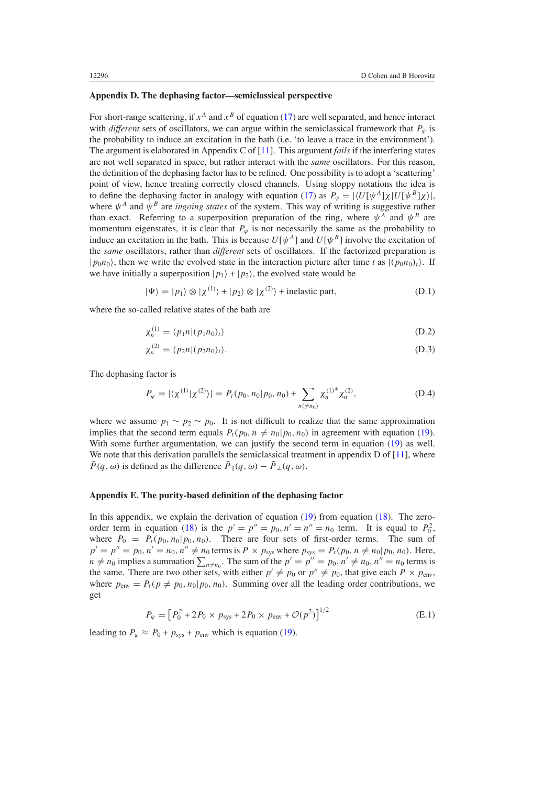## **Appendix D. The dephasing factor—semiclassical perspective**

For short-range scattering, if  $x^A$  and  $x^B$  of equation [\(17\)](#page-3-0) are well separated, and hence interact with *different* sets of oscillators, we can argue within the semiclassical framework that  $P_\omega$  is the probability to induce an excitation in the bath (i.e. 'to leave a trace in the environment'). The argument is elaborated in Appendix C of [\[11\]](#page-16-0). This argument *fails* if the interfering states are not well separated in space, but rather interact with the *same* oscillators. For this reason, the definition of the dephasing factor has to be refined. One possibility is to adopt a 'scattering' point of view, hence treating correctly closed channels. Using sloppy notations the idea is to define the dephasing factor in analogy with equation [\(17\)](#page-3-0) as  $P_\varphi = |\langle U[\psi^A] \chi | U[\psi^B] \chi \rangle|$ , where  $\psi^A$  and  $\psi^B$  are *ingoing states* of the system. This way of writing is suggestive rather than exact. Referring to a superposition preparation of the ring, where  $\psi^A$  and  $\psi^B$  are momentum eigenstates, it is clear that  $P_\varphi$  is not necessarily the same as the probability to induce an excitation in the bath. This is because  $U[\psi^A]$  and  $U[\psi^B]$  involve the excitation of the *same* oscillators, rather than *different* sets of oscillators. If the factorized preparation is  $|p_0n_0\rangle$ , then we write the evolved state in the interaction picture after time *t* as  $|(p_0n_0)_t\rangle$ . If we have initially a superposition  $|p_1\rangle + |p_2\rangle$ , the evolved state would be

$$
|\Psi\rangle = |p_1\rangle \otimes |\chi^{(1)}\rangle + |p_2\rangle \otimes |\chi^{(2)}\rangle + \text{inelastic part},\tag{D.1}
$$

where the so-called relative states of the bath are

$$
\chi_n^{(1)} = \langle p_1 n | (p_1 n_0)_t \rangle \tag{D.2}
$$

$$
\chi_n^{(2)} = \langle p_2 n | (p_2 n_0)_t \rangle. \tag{D.3}
$$

The dephasing factor is

$$
P_{\varphi} = |\langle \chi^{(1)} | \chi^{(2)} \rangle| = P_t(p_0, n_0 | p_0, n_0) + \sum_{n(\neq n_0)} \chi_n^{(1)^*} \chi_n^{(2)}, \tag{D.4}
$$

where we assume  $p_1 \sim p_2 \sim p_0$ . It is not difficult to realize that the same approximation implies that the second term equals  $P_t(p_0, n \neq n_0 | p_0, n_0)$  in agreement with equation [\(19\)](#page-4-0). With some further argumentation, we can justify the second term in equation [\(19\)](#page-4-0) as well. We note that this derivation parallels the semiclassical treatment in appendix  $D$  of  $[11]$  $[11]$ , where  $\tilde{P}(q,\omega)$  is defined as the difference  $\tilde{P}_{\parallel}(q,\omega) - \tilde{P}_{\perp}(q,\omega)$ .

## **Appendix E. The purity-based definition of the dephasing factor**

In this appendix, we explain the derivation of equation  $(19)$  from equation  $(18)$ . The zero-order term in equation [\(18\)](#page-4-0) is the  $p' = p'' = p_0$ ,  $n' = n'' = n_0$  term. It is equal to  $P_0^2$ , where  $P_0 = P_t(p_0, n_0|p_0, n_0)$ . There are four sets of first-order terms. The sum of  $p' = p'' = p_0, n' = n_0, n'' \neq n_0$  terms is  $P \times p_{sys}$  where  $p_{sys} = P_t(p_0, n \neq n_0 | p_0, n_0)$ . Here,  $n \neq n_0$  implies a summation  $\sum_{n \neq n_0}$ . The sum of the  $p' = p'' = p_0$ ,  $n' \neq n_0$ ,  $n'' = n_0$  terms is the same. There are two other sets, with either  $p' \neq p_0$  or  $p'' \neq p_0$ , that give each  $P \times p_{env}$ , where  $p_{\text{env}} = P_t(p \neq p_0, n_0 | p_0, n_0)$ . Summing over all the leading order contributions, we get

$$
P_{\varphi} = [P_0^2 + 2P_0 \times p_{\text{sys}} + 2P_0 \times p_{\text{env}} + \mathcal{O}(p^2)]^{1/2}
$$
 (E.1)

leading to  $P_{\varphi} \approx P_0 + p_{\text{sys}} + p_{\text{env}}$  which is equation [\(19\)](#page-4-0).